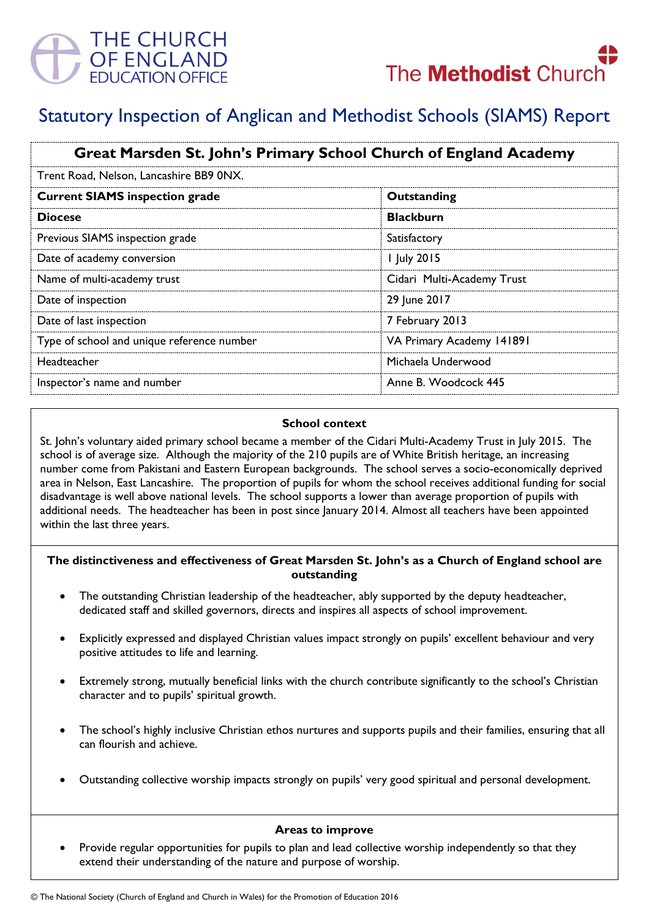



# Statutory Inspection of Anglican and Methodist Schools (SIAMS) Report

| Great Marsden St. John's Primary School Church of England Academy |                            |
|-------------------------------------------------------------------|----------------------------|
| Trent Road, Nelson, Lancashire BB9 0NX.                           |                            |
| <b>Current SIAMS inspection grade</b>                             | Outstanding                |
| <b>Diocese</b>                                                    | <b>Blackburn</b>           |
| Previous SIAMS inspection grade                                   | Satisfactory               |
| Date of academy conversion                                        | 1 July 2015                |
| Name of multi-academy trust                                       | Cidari Multi-Academy Trust |
| Date of inspection                                                | 29 June 2017               |
| Date of last inspection                                           | 7 February 2013            |
| Type of school and unique reference number                        | VA Primary Academy 141891  |
| Headteacher                                                       | Michaela Underwood         |
| Inspector's name and number                                       | Anne B. Woodcock 445       |

#### **School context**

St. John's voluntary aided primary school became a member of the Cidari Multi-Academy Trust in July 2015. The school is of average size. Although the majority of the 210 pupils are of White British heritage, an increasing number come from Pakistani and Eastern European backgrounds. The school serves a socio-economically deprived area in Nelson, East Lancashire. The proportion of pupils for whom the school receives additional funding for social disadvantage is well above national levels. The school supports a lower than average proportion of pupils with additional needs. The headteacher has been in post since January 2014. Almost all teachers have been appointed within the last three years.

#### **The distinctiveness and effectiveness of Great Marsden St. John's as a Church of England school are outstanding**

- The outstanding Christian leadership of the headteacher, ably supported by the deputy headteacher, dedicated staff and skilled governors, directs and inspires all aspects of school improvement.
- Explicitly expressed and displayed Christian values impact strongly on pupils' excellent behaviour and very positive attitudes to life and learning.
- Extremely strong, mutually beneficial links with the church contribute significantly to the school's Christian character and to pupils' spiritual growth.
- The school's highly inclusive Christian ethos nurtures and supports pupils and their families, ensuring that all can flourish and achieve.
- Outstanding collective worship impacts strongly on pupils' very good spiritual and personal development.

# **Areas to improve**

 Provide regular opportunities for pupils to plan and lead collective worship independently so that they extend their understanding of the nature and purpose of worship.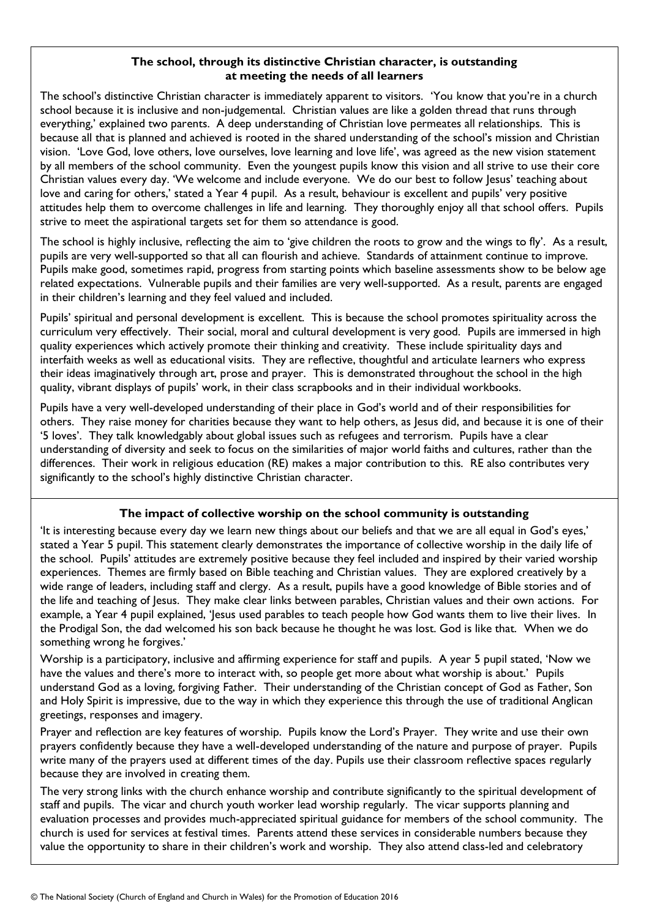## **The school, through its distinctive Christian character, is outstanding at meeting the needs of all learners**

The school's distinctive Christian character is immediately apparent to visitors. 'You know that you're in a church school because it is inclusive and non-judgemental. Christian values are like a golden thread that runs through everything,' explained two parents. A deep understanding of Christian love permeates all relationships. This is because all that is planned and achieved is rooted in the shared understanding of the school's mission and Christian vision. 'Love God, love others, love ourselves, love learning and love life', was agreed as the new vision statement by all members of the school community. Even the youngest pupils know this vision and all strive to use their core Christian values every day. 'We welcome and include everyone. We do our best to follow Jesus' teaching about love and caring for others,' stated a Year 4 pupil. As a result, behaviour is excellent and pupils' very positive attitudes help them to overcome challenges in life and learning. They thoroughly enjoy all that school offers. Pupils strive to meet the aspirational targets set for them so attendance is good.

The school is highly inclusive, reflecting the aim to 'give children the roots to grow and the wings to fly'. As a result, pupils are very well-supported so that all can flourish and achieve. Standards of attainment continue to improve. Pupils make good, sometimes rapid, progress from starting points which baseline assessments show to be below age related expectations. Vulnerable pupils and their families are very well-supported. As a result, parents are engaged in their children's learning and they feel valued and included.

Pupils' spiritual and personal development is excellent. This is because the school promotes spirituality across the curriculum very effectively. Their social, moral and cultural development is very good. Pupils are immersed in high quality experiences which actively promote their thinking and creativity. These include spirituality days and interfaith weeks as well as educational visits. They are reflective, thoughtful and articulate learners who express their ideas imaginatively through art, prose and prayer. This is demonstrated throughout the school in the high quality, vibrant displays of pupils' work, in their class scrapbooks and in their individual workbooks.

Pupils have a very well-developed understanding of their place in God's world and of their responsibilities for others. They raise money for charities because they want to help others, as Jesus did, and because it is one of their '5 loves'. They talk knowledgably about global issues such as refugees and terrorism. Pupils have a clear understanding of diversity and seek to focus on the similarities of major world faiths and cultures, rather than the differences. Their work in religious education (RE) makes a major contribution to this. RE also contributes very significantly to the school's highly distinctive Christian character.

# **The impact of collective worship on the school community is outstanding**

'It is interesting because every day we learn new things about our beliefs and that we are all equal in God's eyes,' stated a Year 5 pupil. This statement clearly demonstrates the importance of collective worship in the daily life of the school. Pupils' attitudes are extremely positive because they feel included and inspired by their varied worship experiences. Themes are firmly based on Bible teaching and Christian values. They are explored creatively by a wide range of leaders, including staff and clergy. As a result, pupils have a good knowledge of Bible stories and of the life and teaching of Jesus. They make clear links between parables, Christian values and their own actions. For example, a Year 4 pupil explained, 'Jesus used parables to teach people how God wants them to live their lives. In the Prodigal Son, the dad welcomed his son back because he thought he was lost. God is like that. When we do something wrong he forgives.'

Worship is a participatory, inclusive and affirming experience for staff and pupils. A year 5 pupil stated, 'Now we have the values and there's more to interact with, so people get more about what worship is about.' Pupils understand God as a loving, forgiving Father. Their understanding of the Christian concept of God as Father, Son and Holy Spirit is impressive, due to the way in which they experience this through the use of traditional Anglican greetings, responses and imagery.

Prayer and reflection are key features of worship. Pupils know the Lord's Prayer. They write and use their own prayers confidently because they have a well-developed understanding of the nature and purpose of prayer. Pupils write many of the prayers used at different times of the day. Pupils use their classroom reflective spaces regularly because they are involved in creating them.

The very strong links with the church enhance worship and contribute significantly to the spiritual development of staff and pupils. The vicar and church youth worker lead worship regularly. The vicar supports planning and evaluation processes and provides much-appreciated spiritual guidance for members of the school community. The church is used for services at festival times. Parents attend these services in considerable numbers because they value the opportunity to share in their children's work and worship. They also attend class-led and celebratory